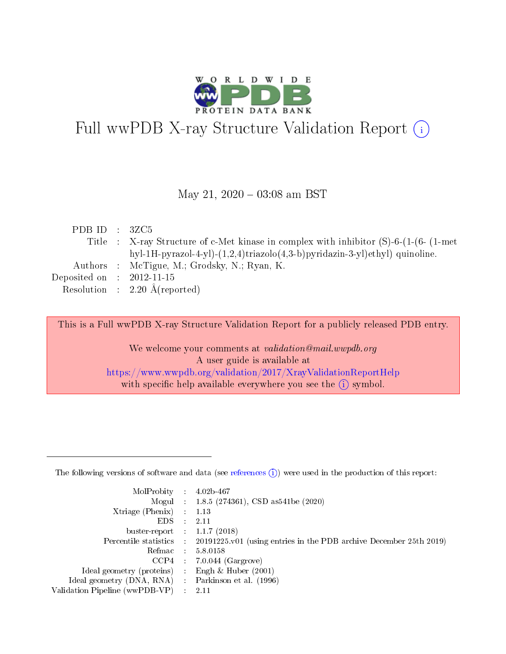

# Full wwPDB X-ray Structure Validation Report (i)

#### May 21,  $2020 - 03:08$  am BST

| PDB ID : $3ZC5$             |                                                                                              |
|-----------------------------|----------------------------------------------------------------------------------------------|
|                             | Title : X-ray Structure of c-Met kinase in complex with inhibitor $(S)$ -6- $(1-(6-(1-met))$ |
|                             | hyl-1H-pyrazol-4-yl)- $(1,2,4)$ triazolo $(4,3-b)$ pyridazin-3-yl)ethyl) quinoline.          |
|                             | Authors : McTigue, M.; Grodsky, N.; Ryan, K.                                                 |
| Deposited on : $2012-11-15$ |                                                                                              |
|                             | Resolution : $2.20 \text{ Å}$ (reported)                                                     |
|                             |                                                                                              |

This is a Full wwPDB X-ray Structure Validation Report for a publicly released PDB entry.

We welcome your comments at validation@mail.wwpdb.org A user guide is available at <https://www.wwpdb.org/validation/2017/XrayValidationReportHelp> with specific help available everywhere you see the  $(i)$  symbol.

The following versions of software and data (see [references](https://www.wwpdb.org/validation/2017/XrayValidationReportHelp#references)  $(1)$ ) were used in the production of this report:

| MolProbity                     | $\mathcal{L}_{\rm{max}}$ | $4.02b - 467$                                                                |
|--------------------------------|--------------------------|------------------------------------------------------------------------------|
|                                |                          | Mogul : $1.8.5$ (274361), CSD as 541be (2020)                                |
| $X$ triage (Phenix) :          |                          | 1.13                                                                         |
| EDS.                           |                          | 2.11                                                                         |
| buster-report : $1.1.7$ (2018) |                          |                                                                              |
| Percentile statistics :        |                          | $20191225 \text{ v}01$ (using entries in the PDB archive December 25th 2019) |
| Refmac                         |                          | 5.8.0158                                                                     |
| $CCP4$ :                       |                          | $7.0.044$ (Gargrove)                                                         |
| Ideal geometry (proteins) :    |                          | Engh $\&$ Huber (2001)                                                       |
| Ideal geometry (DNA, RNA) :    |                          | Parkinson et al. (1996)                                                      |
| Validation Pipeline (wwPDB-VP) | $\mathcal{L}$            | -2.11                                                                        |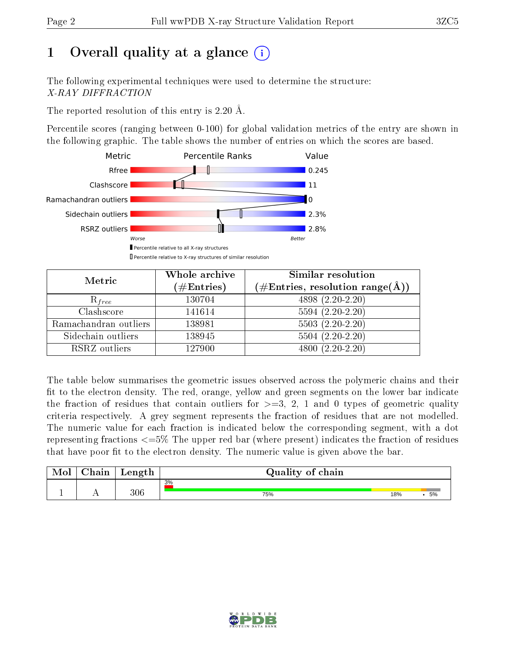# 1 [O](https://www.wwpdb.org/validation/2017/XrayValidationReportHelp#overall_quality)verall quality at a glance  $(i)$

The following experimental techniques were used to determine the structure: X-RAY DIFFRACTION

The reported resolution of this entry is 2.20 Å.

Percentile scores (ranging between 0-100) for global validation metrics of the entry are shown in the following graphic. The table shows the number of entries on which the scores are based.



| Metric                | Whole archive        | Similar resolution                                                     |  |  |
|-----------------------|----------------------|------------------------------------------------------------------------|--|--|
|                       | $(\#\text{Entries})$ | $(\#\text{Entries},\,\text{resolution}\,\,\text{range}(\textup{\AA}))$ |  |  |
| $R_{free}$            | 130704               | $4898(2.20-2.20)$                                                      |  |  |
| Clashscore            | 141614               | $5594(2.20-2.20)$                                                      |  |  |
| Ramachandran outliers | 138981               | $5503(2.20-2.20)$                                                      |  |  |
| Sidechain outliers    | 138945               | $5504(2.20-2.20)$                                                      |  |  |
| RSRZ outliers         | 127900               | $4800(2.20-2.20)$                                                      |  |  |

The table below summarises the geometric issues observed across the polymeric chains and their fit to the electron density. The red, orange, yellow and green segments on the lower bar indicate the fraction of residues that contain outliers for  $>=3, 2, 1$  and 0 types of geometric quality criteria respectively. A grey segment represents the fraction of residues that are not modelled. The numeric value for each fraction is indicated below the corresponding segment, with a dot representing fractions  $\epsilon=5\%$  The upper red bar (where present) indicates the fraction of residues that have poor fit to the electron density. The numeric value is given above the bar.

| Mol | $\cap$ hain | Length | Quality of chain |     |    |
|-----|-------------|--------|------------------|-----|----|
|     |             |        | 3%               |     |    |
|     |             | 306    | 75%              | 18% | 5% |

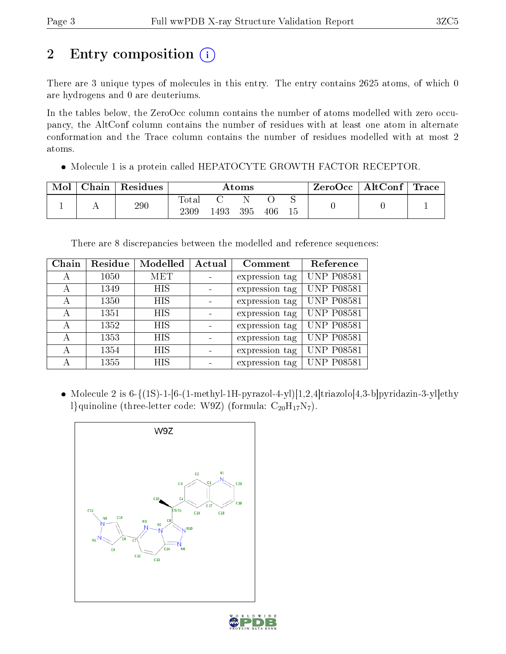# 2 Entry composition (i)

There are 3 unique types of molecules in this entry. The entry contains 2625 atoms, of which 0 are hydrogens and 0 are deuteriums.

In the tables below, the ZeroOcc column contains the number of atoms modelled with zero occupancy, the AltConf column contains the number of residues with at least one atom in alternate conformation and the Trace column contains the number of residues modelled with at most 2 atoms.

Molecule 1 is a protein called HEPATOCYTE GROWTH FACTOR RECEPTOR.

| Mol | Chain | Residues | Atoms                  |     |     | ZeroOcc | $\mid$ AltConf $\mid$ | <b>Trace</b> |  |  |
|-----|-------|----------|------------------------|-----|-----|---------|-----------------------|--------------|--|--|
|     |       | 290      | $\hbox{Total}$<br>2309 | 493 | 395 | 406     |                       |              |  |  |

There are 8 discrepancies between the modelled and reference sequences:

| Chain | Residue | Modelled   | Actual | Comment        | Reference         |
|-------|---------|------------|--------|----------------|-------------------|
| А     | 1050    | MET        |        | expression tag | <b>UNP P08581</b> |
| А     | 1349    | <b>HIS</b> |        | expression tag | <b>UNP P08581</b> |
| А     | 1350    | HIS        |        | expression tag | <b>UNP P08581</b> |
| А     | 1351    | <b>HIS</b> |        | expression tag | <b>UNP P08581</b> |
| А     | 1352    | <b>HIS</b> |        | expression tag | <b>UNP P08581</b> |
| А     | 1353    | <b>HIS</b> |        | expression tag | <b>UNP P08581</b> |
| А     | 1354    | <b>HIS</b> |        | expression tag | <b>UNP P08581</b> |
| А     | 1355    | <b>HIS</b> |        | expression tag | <b>UNP P08581</b> |

• Molecule 2 is  $6-\{(1S)-1-[6-(1-methyl-1H-pyrazol-4-yl)[1,2,4]triazolo[4,3-b]pyridazin-3-yl]ethy$ l}quinoline (three-letter code: W9Z) (formula:  $C_{20}H_{17}N_7$ ).



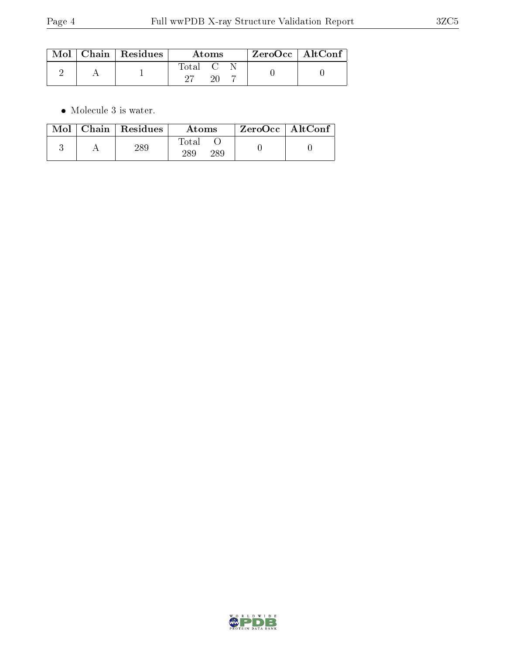|  | $Mol$   Chain   Residues | Atoms                                                   |  |  | ZeroOcc   AltConf |  |
|--|--------------------------|---------------------------------------------------------|--|--|-------------------|--|
|  |                          | $\begin{bmatrix} \text{Total} & \text{C} \end{bmatrix}$ |  |  |                   |  |

 $\bullet\,$  Molecule 3 is water.

|  | $Mol$   Chain   Residues | Atoms               | $\rm ZeroOcc \mid AltConf$ |  |
|--|--------------------------|---------------------|----------------------------|--|
|  | 289                      | Total<br>289<br>289 |                            |  |

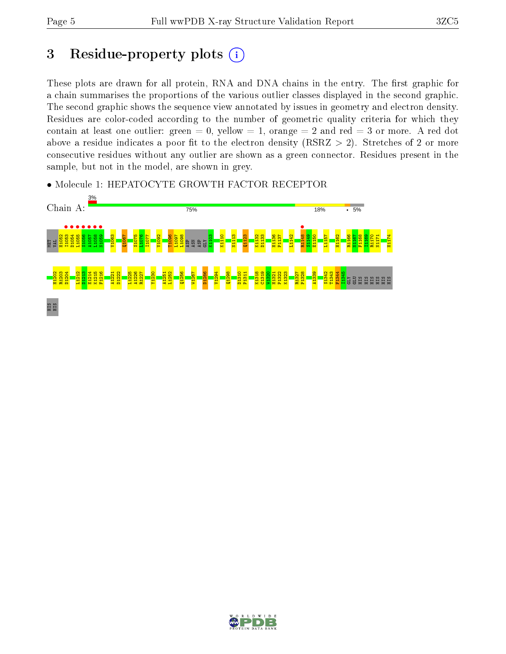## 3 Residue-property plots  $(i)$

These plots are drawn for all protein, RNA and DNA chains in the entry. The first graphic for a chain summarises the proportions of the various outlier classes displayed in the second graphic. The second graphic shows the sequence view annotated by issues in geometry and electron density. Residues are color-coded according to the number of geometric quality criteria for which they contain at least one outlier: green  $= 0$ , yellow  $= 1$ , orange  $= 2$  and red  $= 3$  or more. A red dot above a residue indicates a poor fit to the electron density (RSRZ  $> 2$ ). Stretches of 2 or more consecutive residues without any outlier are shown as a green connector. Residues present in the sample, but not in the model, are shown in grey.



• Molecule 1: HEPATOCYTE GROWTH FACTOR RECEPTOR

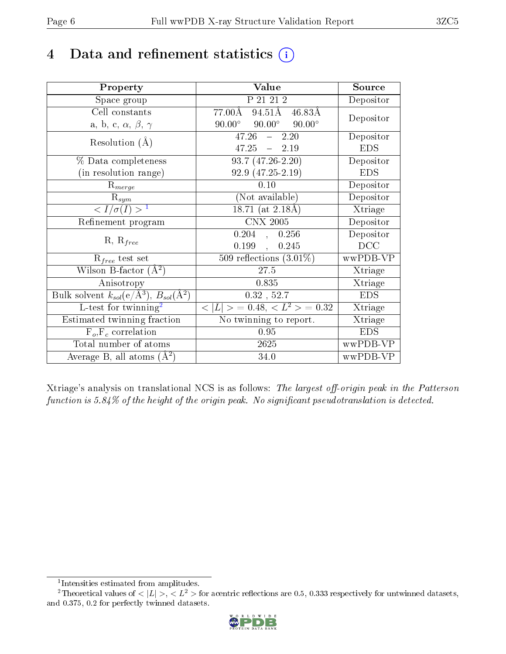# 4 Data and refinement statistics  $(i)$

| Property                                                         | Value                                             | Source     |
|------------------------------------------------------------------|---------------------------------------------------|------------|
| Space group                                                      | P 21 21 2                                         | Depositor  |
| Cell constants                                                   | $94.5\overline{1A}$<br>77.00Å<br>46.83Å           | Depositor  |
| a, b, c, $\alpha$ , $\beta$ , $\gamma$                           | $90.00^\circ$<br>$90.00^{\circ}$<br>$90.00^\circ$ |            |
| Resolution $(A)$                                                 | 47.26<br>2.20<br>$\frac{1}{2}$                    | Depositor  |
|                                                                  | $47.25 - 2.19$                                    | <b>EDS</b> |
| % Data completeness                                              | $93.7(47.26 - 2.20)$                              | Depositor  |
| (in resolution range)                                            | 92.9 (47.25-2.19)                                 | <b>EDS</b> |
| $R_{merge}$                                                      | 0.10                                              | Depositor  |
| $\mathrm{R}_{sym}$                                               | (Not available)                                   | Depositor  |
| $\langle I/\sigma(I) \rangle^{-1}$                               | $18.71$ (at 2.18Å)                                | Xtriage    |
| Refinement program                                               | <b>CNX 2005</b>                                   | Depositor  |
|                                                                  | 0.204<br>, 0.256                                  | Depositor  |
| $R, R_{free}$                                                    | 0.199,<br>0.245                                   | DCC        |
| $R_{free}$ test set                                              | 509 reflections $(3.01\%)$                        | wwPDB-VP   |
| Wilson B-factor $(A^2)$                                          | $27.5\,$                                          | Xtriage    |
| Anisotropy                                                       | 0.835                                             | Xtriage    |
| Bulk solvent $k_{sol}(\text{e}/\text{A}^3), B_{sol}(\text{A}^2)$ | 0.32, 52.7                                        | <b>EDS</b> |
| L-test for $\mathrm{twinning}^2$                                 | $< L >$ = 0.48, $< L2 >$ = 0.32                   | Xtriage    |
| Estimated twinning fraction                                      | No twinning to report.                            | Xtriage    |
| $F_o, F_c$ correlation                                           | 0.95                                              | <b>EDS</b> |
| Total number of atoms                                            | 2625                                              | wwPDB-VP   |
| Average B, all atoms $(A^2)$                                     | 34.0                                              | wwPDB-VP   |

Xtriage's analysis on translational NCS is as follows: The largest off-origin peak in the Patterson function is  $5.84\%$  of the height of the origin peak. No significant pseudotranslation is detected.

<sup>&</sup>lt;sup>2</sup>Theoretical values of  $\langle |L| \rangle$ ,  $\langle L^2 \rangle$  for acentric reflections are 0.5, 0.333 respectively for untwinned datasets, and 0.375, 0.2 for perfectly twinned datasets.



<span id="page-5-1"></span><span id="page-5-0"></span><sup>1</sup> Intensities estimated from amplitudes.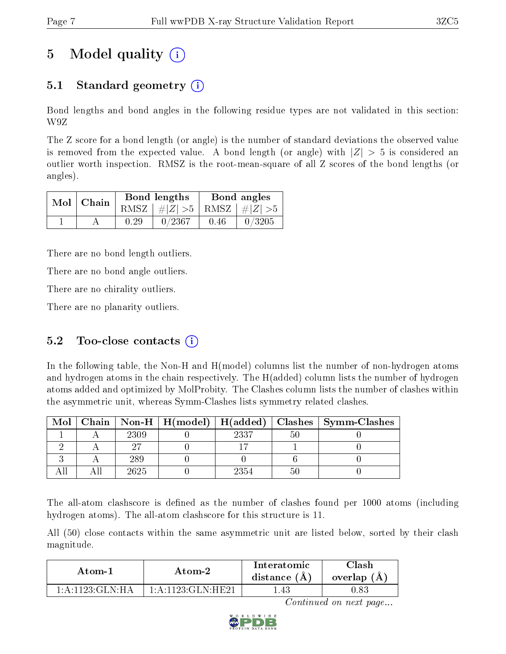# 5 Model quality  $(i)$

### 5.1 Standard geometry  $(i)$

Bond lengths and bond angles in the following residue types are not validated in this section: W9Z

The Z score for a bond length (or angle) is the number of standard deviations the observed value is removed from the expected value. A bond length (or angle) with  $|Z| > 5$  is considered an outlier worth inspection. RMSZ is the root-mean-square of all Z scores of the bond lengths (or angles).

| $Mol$   Chain |      | Bond lengths                    | Bond angles |        |  |
|---------------|------|---------------------------------|-------------|--------|--|
|               |      | RMSZ $ #Z  > 5$ RMSZ $ #Z  > 5$ |             |        |  |
|               | 0.29 | 0/2367                          | 0.46        | 0/3205 |  |

There are no bond length outliers.

There are no bond angle outliers.

There are no chirality outliers.

There are no planarity outliers.

### 5.2 Too-close contacts  $(i)$

In the following table, the Non-H and H(model) columns list the number of non-hydrogen atoms and hydrogen atoms in the chain respectively. The H(added) column lists the number of hydrogen atoms added and optimized by MolProbity. The Clashes column lists the number of clashes within the asymmetric unit, whereas Symm-Clashes lists symmetry related clashes.

| Mol |      |      |    | Chain   Non-H   H(model)   H(added)   Clashes   Symm-Clashes |
|-----|------|------|----|--------------------------------------------------------------|
|     | 2309 | 2337 | 50 |                                                              |
|     |      |      |    |                                                              |
|     | 289  |      |    |                                                              |
|     | 2625 | 2354 |    |                                                              |

The all-atom clashscore is defined as the number of clashes found per 1000 atoms (including hydrogen atoms). The all-atom clashscore for this structure is 11.

All (50) close contacts within the same asymmetric unit are listed below, sorted by their clash magnitude.

| Atom-1                         | Atom-2               | Interatomic<br>distance $(A)$ | $\cap$ lash<br>overlap $(A,$ |
|--------------------------------|----------------------|-------------------------------|------------------------------|
| 1: A: 1123: GLN·H <sub>A</sub> | $1:$ A:1123:GLN:HE21 | .43                           | , 83                         |

Continued on next page...

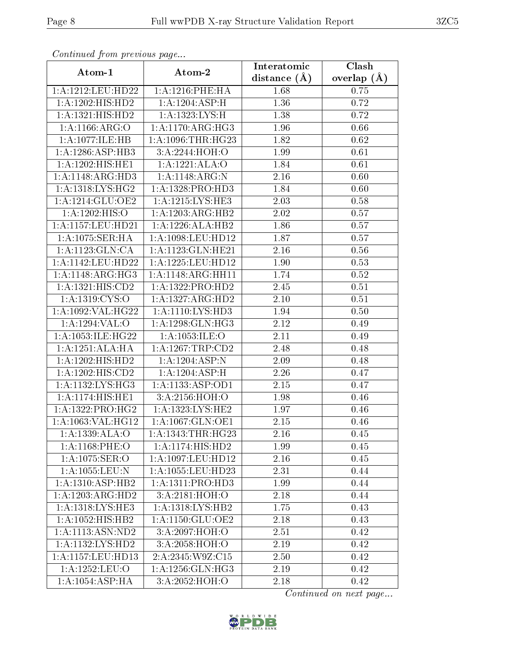| Continual from previous page |                       | Interatomic    | Clash             |
|------------------------------|-----------------------|----------------|-------------------|
| Atom-1                       | Atom-2                | distance $(A)$ | overlap $(A)$     |
| 1:A:1212:LEU:HD22            | 1: A: 1216: PHE: HA   | 1.68           | 0.75              |
| 1:A:1202:HIS:HD2             | 1:A:1204:ASP:H        | 1.36           | $\overline{0.72}$ |
| 1: A: 1321: HIS: HD2         | 1:A:1323:LYS:H        | 1.38           | 0.72              |
| 1: A: 1166: ARG: O           | 1: A:1170:ARG:HG3     | 1.96           | 0.66              |
| 1:A:1077:1LE:HB              | 1: A: 1096: THR: HG23 | 1.82           | 0.62              |
| 1:A:1286:ASP:HB3             | 3:A:2244:HOH:O        | 1.99           | 0.61              |
| 1:A:1202:HIS:HE1             | 1:A:1221:ALA:O        | 1.84           | 0.61              |
| 1:A:1148:ARG:HD3             | 1:A:1148:ARG:N        | 2.16           | 0.60              |
| 1: A:1318: LYS: HG2          | 1:A:1328:PRO:HD3      | 1.84           | 0.60              |
| 1:A:1214:GLU:OE2             | 1:A:1215:LYS:HE3      | 2.03           | 0.58              |
| 1:A:1202:HIS:O               | 1:A:1203:ARG:HB2      | 2.02           | 0.57              |
| 1:A:1157:LEU:HD21            | 1:A:1226:ALA:HB2      | 1.86           | 0.57              |
| 1:A:1075:SER:HA              | 1:A:1098:LEU:HD12     | 1.87           | 0.57              |
| 1: A: 1123: GLN: CA          | 1:A:1123:GLN:HE21     | $2.16\,$       | $0.56\,$          |
| 1:A:1142:LEU:HD22            | 1:A:1225:LEU:HD12     | 1.90           | 0.53              |
| 1: A:1148: ARG: HG3          | 1:A:1148:ARG:HH11     | 1.74           | 0.52              |
| 1:A:1321:HIS:CD2             | 1:A:1322:PRO:HD2      | 2.45           | 0.51              |
| 1:A:1319:CYS:O               | 1:A:1327:ARG:HD2      | $2.10\,$       | 0.51              |
| 1:A:1092:VAL:HG22            | 1:A:1110:LYS:HD3      | 1.94           | 0.50              |
| 1:A:1294:VAL:O               | 1:A:1298:GLN:HG3      | 2.12           | 0.49              |
| 1:A:1053:ILE:HG22            | 1:A:1053:ILE:O        | 2.11           | 0.49              |
| 1:A:1251:ALA:HA              | 1:A:1267:TRP:CD2      | 2.48           | 0.48              |
| 1:A:1202:HIS:HD2             | 1:A:1204:ASP:N        | 2.09           | 0.48              |
| 1:A:1202:HIS:CD2             | 1:A:1204:ASP:H        | 2.26           | 0.47              |
| 1:A:1132:LYS:HG3             | 1:A:1133:ASP:OD1      | 2.15           | 0.47              |
| 1: A:1174:HIS:HE1            | 3:A:2156:HOH:O        | 1.98           | 0.46              |
| 1: A: 1322: PRO: HG2         | 1: A: 1323: LYS: HE2  | 1.97           | 0.46              |
| 1: A: 1063: VAL:HG12         | 1: A: 1067: GLN: OE1  | 2.15           | 0.46              |
| 1:A:1339:ALA:O               | 1:A:1343:THR:HG23     | 2.16           | 0.45              |
| 1:A:1168:PHE:O               | 1: A:1174: HIS: HD2   | 1.99           | 0.45              |
| 1:A:1075:SER:O               | 1: A: 1097: LEU: HD12 | 2.16           | 0.45              |
| 1:A:1055:LEU:N               | 1:A:1055:LEU:HD23     | 2.31           | 0.44              |
| 1:A:1310:ASP:HB2             | 1: A: 1311: PRO: HD3  | 1.99           | 0.44              |
| 1:A:1203:ARG:HD2             | 3:A:2181:HOH:O        | 2.18           | 0.44              |
| 1: A: 1318: LYS: HE3         | 1:A:1318:LYS:HB2      | 1.75           | 0.43              |
| 1:A:1052:HIS:HB2             | 1:A:1150:GLU:OE2      | 2.18           | 0.43              |
| 1:A:1113:ASN:ND2             | 3:A:2097:HOH:O        | 2.51           | 0.42              |
| 1:A:1132:LYS:HD2             | 3:A:2058:HOH:O        | 2.19           | 0.42              |
| 1:A:1157:LEU:HD13            | 2:A:2345:W9Z:C15      | 2.50           | 0.42              |
| 1:A:1252:LEU:O               | 1:A:1256:GLN:HG3      | 2.19           | 0.42              |
| 1:A:1054:ASP:HA              | 3:A:2052:HOH:O        | 2.18           | 0.42              |

Continued from previous page.

Continued on next page...

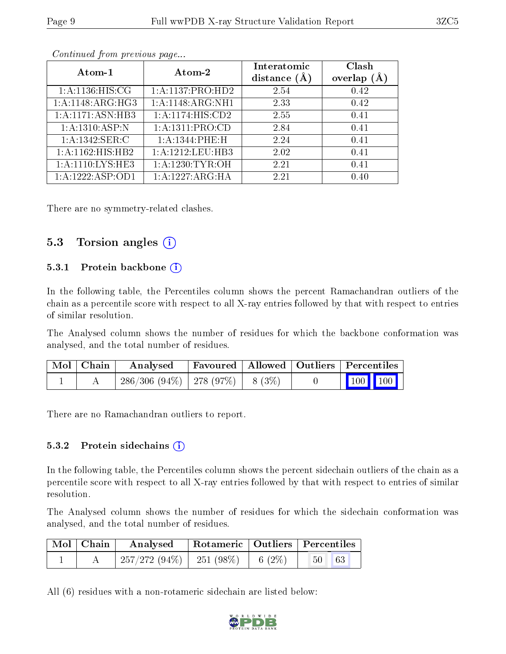| Atom-1             | Atom-2                        | Interatomic<br>distance $(\AA)$ | Clash<br>overlap $(A)$ |
|--------------------|-------------------------------|---------------------------------|------------------------|
| 1: A:1136:HIS:CG   | 1:A:1137:PRO:HD2              | 2.54                            | 0.42                   |
| 1:A:1148:ARG:HG3   | $1:A:1148:ARG:\overline{NH1}$ | 2.33                            | 0.42                   |
| 1:A:1171:ASN:HB3   | 1: A: 1174: HIS: CD2          | 2.55                            | 0.41                   |
| 1: A: 1310: ASP: N | 1:A:1311:PRO:CD               | 2.84                            | 0.41                   |
| 1: A: 1342: SER:C  | 1: A: 1344: PHE: H            | 2.24                            | 0.41                   |
| 1:A:1162:HIS:HB2   | 1:A:1212:LEU:HB3              | 2.02                            | 0.41                   |
| 1:A:1110:LYS:HE3   | 1: A: 1230: TYR: OH           | 2.21                            | 0.41                   |
| 1:A:1222:ASP:OD1   | 1:A:1227:ARG:HA               | 2.21                            | 0.40                   |

Continued from previous page...

There are no symmetry-related clashes.

#### 5.3 Torsion angles  $(i)$

#### 5.3.1 Protein backbone (i)

In the following table, the Percentiles column shows the percent Ramachandran outliers of the chain as a percentile score with respect to all X-ray entries followed by that with respect to entries of similar resolution.

The Analysed column shows the number of residues for which the backbone conformation was analysed, and the total number of residues.

| Mol   Chain | Analysed                                      |  | Favoured   Allowed   Outliers   Percentiles    |
|-------------|-----------------------------------------------|--|------------------------------------------------|
|             | $286/306$ $(94\%)$   278 $(97\%)$   8 $(3\%)$ |  | $\begin{bmatrix} 100 \\ 100 \end{bmatrix}$ 100 |

There are no Ramachandran outliers to report.

#### 5.3.2 Protein sidechains  $(i)$

In the following table, the Percentiles column shows the percent sidechain outliers of the chain as a percentile score with respect to all X-ray entries followed by that with respect to entries of similar resolution.

The Analysed column shows the number of residues for which the sidechain conformation was analysed, and the total number of residues.

| Mol   Chain | Analysed                               | Rotameric   Outliers   Percentiles |  |                        |  |
|-------------|----------------------------------------|------------------------------------|--|------------------------|--|
|             | $257/272(94\%)$   251 (98\%)   6 (2\%) |                                    |  | 63 <br>50 <sub>1</sub> |  |

All (6) residues with a non-rotameric sidechain are listed below:

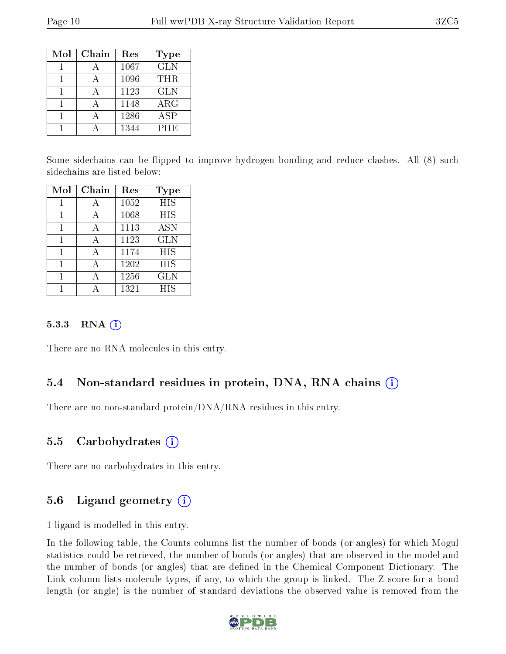| Mol | Chain | Res  | <b>Type</b>             |
|-----|-------|------|-------------------------|
|     |       | 1067 | $\overline{\text{GLN}}$ |
|     |       | 1096 | THR.                    |
|     |       | 1123 | <b>GLN</b>              |
|     |       | 1148 | $\rm{ARG}$              |
|     |       | 1286 | <b>ASP</b>              |
|     |       | 1344 | PHE                     |

Some sidechains can be flipped to improve hydrogen bonding and reduce clashes. All (8) such sidechains are listed below:

| Mol | Chain | Res  | <b>Type</b> |
|-----|-------|------|-------------|
|     |       | 1052 | <b>HIS</b>  |
| 1   |       | 1068 | HIS         |
| 1   | А     | 1113 | <b>ASN</b>  |
|     |       | 1123 | <b>GLN</b>  |
|     |       | 1174 | <b>HIS</b>  |
|     |       | 1202 | HIS         |
|     |       | 1256 | GLN         |
|     |       | 1321 | <b>HIS</b>  |

#### 5.3.3 RNA  $(i)$

There are no RNA molecules in this entry.

### 5.4 Non-standard residues in protein, DNA, RNA chains (i)

There are no non-standard protein/DNA/RNA residues in this entry.

#### 5.5 Carbohydrates (i)

There are no carbohydrates in this entry.

### 5.6 Ligand geometry  $(i)$

1 ligand is modelled in this entry.

In the following table, the Counts columns list the number of bonds (or angles) for which Mogul statistics could be retrieved, the number of bonds (or angles) that are observed in the model and the number of bonds (or angles) that are defined in the Chemical Component Dictionary. The Link column lists molecule types, if any, to which the group is linked. The Z score for a bond length (or angle) is the number of standard deviations the observed value is removed from the

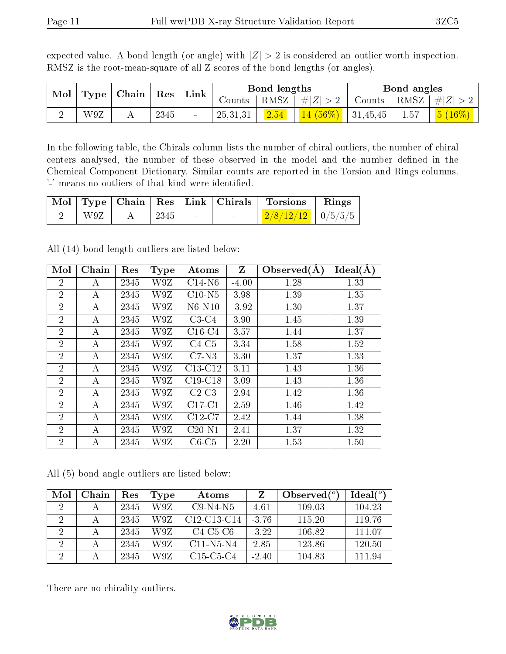|  | $\mid$ Mol $\mid$ Type $\mid$ Chain $\mid$ Res $\mid$ Link $\mid$ |  | Bond lengths |                                                                   | Bond angles |  |
|--|-------------------------------------------------------------------|--|--------------|-------------------------------------------------------------------|-------------|--|
|  |                                                                   |  |              | Counts   RMSZ $\mid \#  Z  > 2$   Counts   RMSZ $\mid \#  Z  > 2$ |             |  |

2 | W9Z | A | 2345 | - | 25,31,31 | <mark>2.54 | 14 (56%) |</mark> 31,45,45 | 1.57 | <mark>5 (16%)</mark>

expected value. A bond length (or angle) with  $|Z| > 2$  is considered an outlier worth inspection. RMSZ is the root-mean-square of all Z scores of the bond lengths (or angles).

In the following table, the Chirals column lists the number of chiral outliers, the number of chiral centers analysed, the number of these observed in the model and the number defined in the Chemical Component Dictionary. Similar counts are reported in the Torsion and Rings columns. '-' means no outliers of that kind were identified.

|                    |                      |                  | Mol Type Chain Res Link Chirals Torsions Rings |  |
|--------------------|----------------------|------------------|------------------------------------------------|--|
| $\pm$ W9Z $_{\pm}$ | $\vert$ 2345 $\vert$ | and the state of | $\frac{2/8}{12/12}$   0/5/5/5                  |  |

All (14) bond length outliers are listed below:

| Mol            | Chain | Res  | <b>Type</b> | Atoms     | $Z_{\rm}$ | Observed $(A)$ | Ideal(A) |
|----------------|-------|------|-------------|-----------|-----------|----------------|----------|
| $\overline{2}$ | А     | 2345 | W9Z         | $C14-N6$  | $-4.00$   | 1.28           | 1.33     |
| $\overline{2}$ | А     | 2345 | W9Z         | $C10-N5$  | 3.98      | 1.39           | 1.35     |
| $\overline{2}$ | А     | 2345 | W9Z         | N6-N10    | $-3.92$   | 1.30           | 1.37     |
| $\overline{2}$ | А     | 2345 | W9Z         | $C3-C4$   | 3.90      | 1.45           | 1.39     |
| $\overline{2}$ | А     | 2345 | W9Z         | $C16-C4$  | 3.57      | 1.44           | 1.37     |
| $\overline{2}$ | А     | 2345 | W9Z         | $C4-C5$   | 3.34      | 1.58           | 1.52     |
| $\overline{2}$ | А     | 2345 | W9Z         | $C7-N3$   | 3.30      | 1.37           | 1.33     |
| $\overline{2}$ | А     | 2345 | W9Z         | $C13-C12$ | 3.11      | 1.43           | 1.36     |
| $\overline{2}$ | А     | 2345 | W9Z         | $C19-C18$ | 3.09      | 1.43           | 1.36     |
| $\overline{2}$ | А     | 2345 | W9Z         | $C2-C3$   | 2.94      | 1.42           | 1.36     |
| $\overline{2}$ | А     | 2345 | W9Z         | $C17-C1$  | 2.59      | 1.46           | 1.42     |
| $\overline{2}$ | А     | 2345 | W9Z         | $C12-C7$  | 2.42      | 1.44           | 1.38     |
| $\overline{2}$ | А     | 2345 | W9Z         | $C20-N1$  | 2.41      | 1.37           | 1.32     |
| $\overline{2}$ | А     | 2345 | W9Z         | $C6-C5$   | 2.20      | 1.53           | 1.50     |

All (5) bond angle outliers are listed below:

| Mol            | Chain | Res  | Type | Atoms                                             |         | Observed $(°)$ | $Ideal(^o)$ |
|----------------|-------|------|------|---------------------------------------------------|---------|----------------|-------------|
| $\overline{2}$ |       | 2345 | W9Z  | $C9-N4-N5$                                        | 4.61    | 109.03         | 104.23      |
| $\overline{2}$ |       | 2345 | W9Z  | C <sub>12</sub> -C <sub>13</sub> -C <sub>14</sub> | $-3.76$ | 115.20         | 119.76      |
| 2              |       | 2345 | W9Z  | $C4-C5-C6$                                        | $-3.22$ | 106.82         | 111 07      |
| 2              |       | 2345 | W9Z  | $C11-N5-N4$                                       | 2.85    | 123.86         | -120.50     |
| $\overline{2}$ |       | 2345 | W9Z  | C <sub>15</sub> -C <sub>5</sub> -C <sub>4</sub>   | $-2.40$ | 104.83         | 111.94      |

There are no chirality outliers.

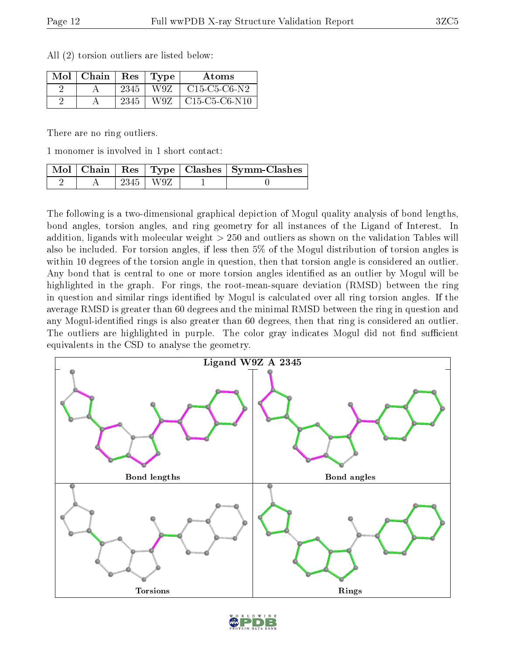| $Mol$   Chain | $\operatorname{Res}% \left( \mathcal{N}\right) \equiv\operatorname{Res}(\mathcal{N}_{0})\cap\mathcal{N}_{1}$ | Type | A toms          |
|---------------|--------------------------------------------------------------------------------------------------------------|------|-----------------|
|               | 2345                                                                                                         | W9Z  | $C15-C5-C6-N2$  |
|               | 2345                                                                                                         | W9Z. | $C15-C5-C6-N10$ |

All (2) torsion outliers are listed below:

There are no ring outliers.

1 monomer is involved in 1 short contact:

|  |            | Mol   Chain   Res   Type   Clashes   Symm-Clashes |
|--|------------|---------------------------------------------------|
|  | 2345   W9Z |                                                   |

The following is a two-dimensional graphical depiction of Mogul quality analysis of bond lengths, bond angles, torsion angles, and ring geometry for all instances of the Ligand of Interest. In addition, ligands with molecular weight > 250 and outliers as shown on the validation Tables will also be included. For torsion angles, if less then 5% of the Mogul distribution of torsion angles is within 10 degrees of the torsion angle in question, then that torsion angle is considered an outlier. Any bond that is central to one or more torsion angles identified as an outlier by Mogul will be highlighted in the graph. For rings, the root-mean-square deviation (RMSD) between the ring in question and similar rings identified by Mogul is calculated over all ring torsion angles. If the average RMSD is greater than 60 degrees and the minimal RMSD between the ring in question and any Mogul-identied rings is also greater than 60 degrees, then that ring is considered an outlier. The outliers are highlighted in purple. The color gray indicates Mogul did not find sufficient equivalents in the CSD to analyse the geometry.



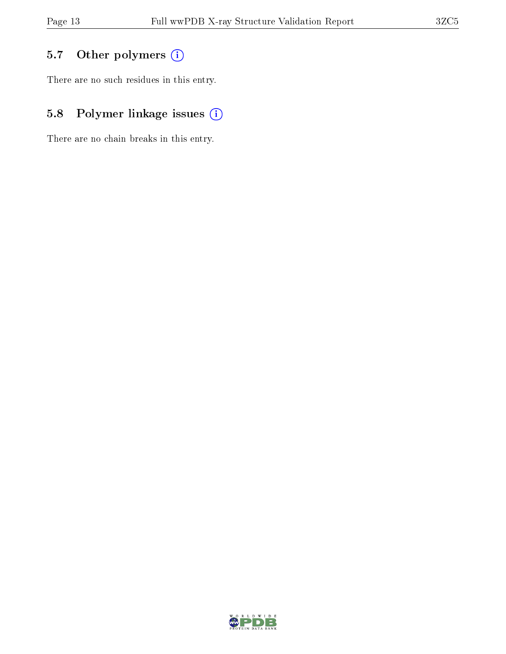### 5.7 [O](https://www.wwpdb.org/validation/2017/XrayValidationReportHelp#nonstandard_residues_and_ligands)ther polymers (i)

There are no such residues in this entry.

### 5.8 Polymer linkage issues (i)

There are no chain breaks in this entry.

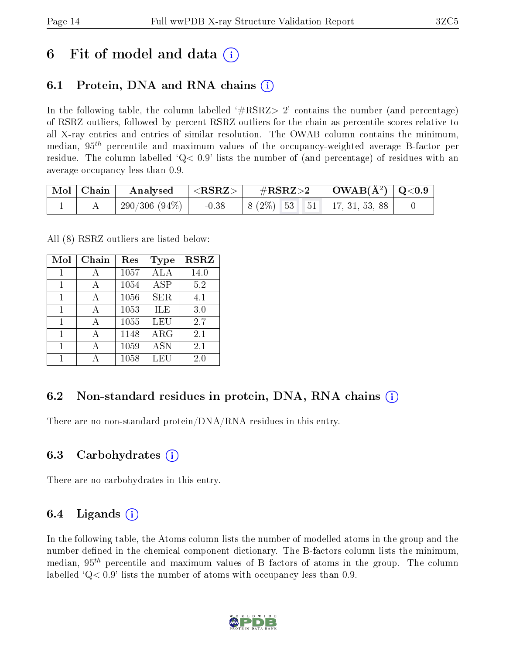## 6 Fit of model and data  $\left( \cdot \right)$

### 6.1 Protein, DNA and RNA chains (i)

In the following table, the column labelled  $#RSRZ>2'$  contains the number (and percentage) of RSRZ outliers, followed by percent RSRZ outliers for the chain as percentile scores relative to all X-ray entries and entries of similar resolution. The OWAB column contains the minimum, median,  $95<sup>th</sup>$  percentile and maximum values of the occupancy-weighted average B-factor per residue. The column labelled  $Q < 0.9$  lists the number of (and percentage) of residues with an average occupancy less than 0.9.

|  | $\vert$ Mol $\vert$ Chain $\vert$ Analysed $\vert$ <rsrz><math>\vert</math></rsrz> | $\rm \#RSRZ{>}2$                         | $\vert$ OWAB( $\rm \AA^2)$ $\vert$ Q<0.9 |  |
|--|------------------------------------------------------------------------------------|------------------------------------------|------------------------------------------|--|
|  | $^+$ 290/306 (94%) $\vert$                                                         | $-0.38$   8 (2\%) 53 51   17, 31, 53, 88 |                                          |  |

All (8) RSRZ outliers are listed below:

| Mol | Chain | Res  | Type       | <b>RSRZ</b> |
|-----|-------|------|------------|-------------|
| 1   | А     | 1057 | ALA        | 14.0        |
| 1   |       | 1054 | <b>ASP</b> | 5.2         |
| 1   |       | 1056 | <b>SER</b> | 4.1         |
| 1   |       | 1053 | ILE        | 3.0         |
| 1   |       | 1055 | LEU        | 2.7         |
| 1   |       | 1148 | $\rm{ARG}$ | 2.1         |
| 1   |       | 1059 | <b>ASN</b> | 2.1         |
|     |       | 1058 | LEU        | 2.0         |

### 6.2 Non-standard residues in protein, DNA, RNA chains  $(i)$

There are no non-standard protein/DNA/RNA residues in this entry.

### 6.3 Carbohydrates (i)

There are no carbohydrates in this entry.

### 6.4 Ligands  $(i)$

In the following table, the Atoms column lists the number of modelled atoms in the group and the number defined in the chemical component dictionary. The B-factors column lists the minimum, median,  $95<sup>th</sup>$  percentile and maximum values of B factors of atoms in the group. The column labelled  $Q< 0.9$ ' lists the number of atoms with occupancy less than 0.9.